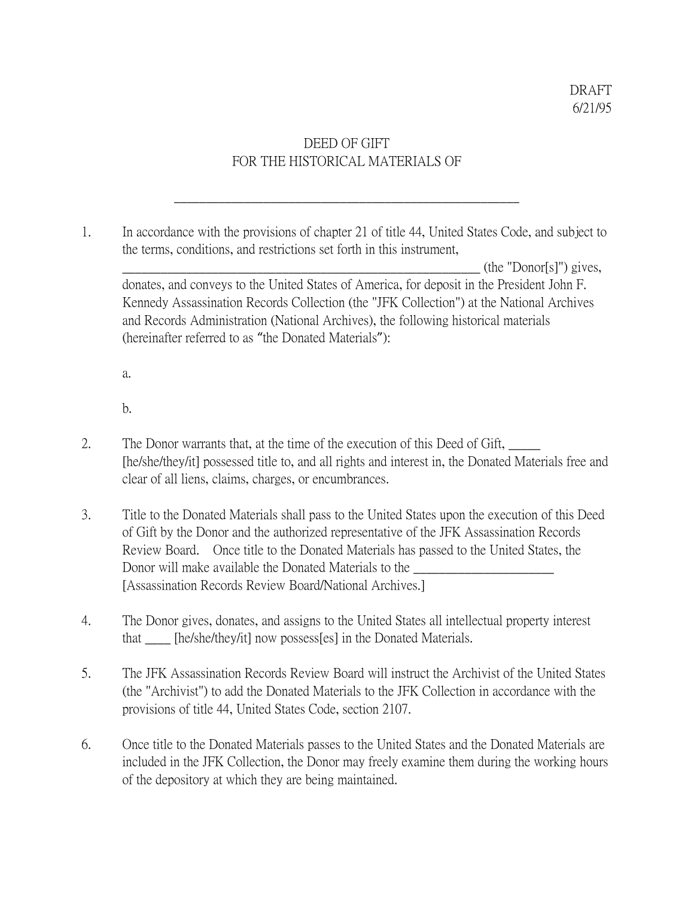## DEED OF GIFT FOR THE HISTORICAL MATERIALS OF

\_\_\_\_\_\_\_\_\_\_\_\_\_\_\_\_\_\_\_\_\_\_\_\_\_\_\_\_\_\_\_\_\_\_\_\_\_\_\_\_\_\_\_\_\_\_\_\_\_\_\_\_\_\_

1. In accordance with the provisions of chapter 21 of title 44, United States Code, and subject to the terms, conditions, and restrictions set forth in this instrument,

 $(\text{the "Donor}[s]")$  gives, donates, and conveys to the United States of America, for deposit in the President John F. Kennedy Assassination Records Collection (the "JFK Collection") at the National Archives and Records Administration (National Archives), the following historical materials (hereinafter referred to as "the Donated Materials"):

a.

b.

- 2. The Donor warrants that, at the time of the execution of this Deed of Gift, [he/she/they/it] possessed title to, and all rights and interest in, the Donated Materials free and clear of all liens, claims, charges, or encumbrances.
- 3. Title to the Donated Materials shall pass to the United States upon the execution of this Deed of Gift by the Donor and the authorized representative of the JFK Assassination Records Review Board. Once title to the Donated Materials has passed to the United States, the Donor will make available the Donated Materials to the [Assassination Records Review Board/National Archives.]
- 4. The Donor gives, donates, and assigns to the United States all intellectual property interest that [he/she/they/it] now possess[es] in the Donated Materials.
- 5. The JFK Assassination Records Review Board will instruct the Archivist of the United States (the "Archivist") to add the Donated Materials to the JFK Collection in accordance with the provisions of title 44, United States Code, section 2107.
- 6. Once title to the Donated Materials passes to the United States and the Donated Materials are included in the JFK Collection, the Donor may freely examine them during the working hours of the depository at which they are being maintained.